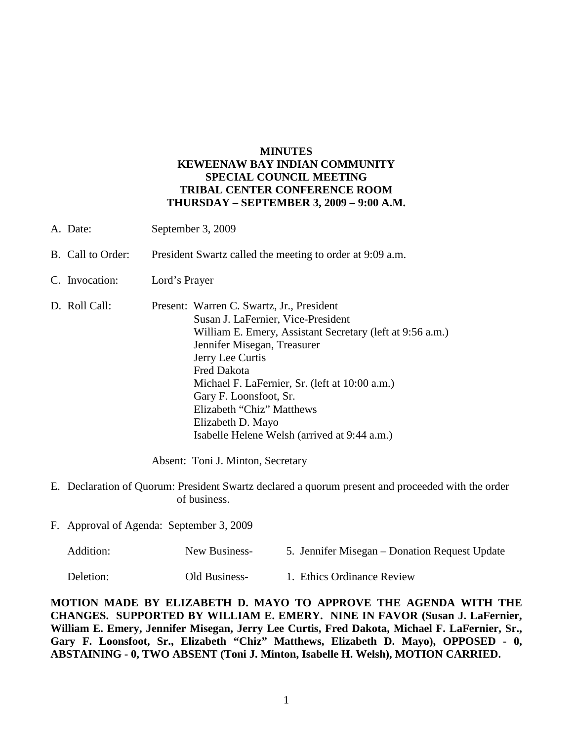## **MINUTES KEWEENAW BAY INDIAN COMMUNITY SPECIAL COUNCIL MEETING TRIBAL CENTER CONFERENCE ROOM THURSDAY – SEPTEMBER 3, 2009 – 9:00 A.M.**

- A. Date: September 3, 2009
- B. Call to Order: President Swartz called the meeting to order at 9:09 a.m.
- C. Invocation: Lord's Prayer
- D. Roll Call: Present: Warren C. Swartz, Jr., President Susan J. LaFernier, Vice-President William E. Emery, Assistant Secretary (left at 9:56 a.m.) Jennifer Misegan, Treasurer Jerry Lee Curtis Fred Dakota Michael F. LaFernier, Sr. (left at 10:00 a.m.) Gary F. Loonsfoot, Sr. Elizabeth "Chiz" Matthews Elizabeth D. Mayo Isabelle Helene Welsh (arrived at 9:44 a.m.)

Absent: Toni J. Minton, Secretary

- E. Declaration of Quorum: President Swartz declared a quorum present and proceeded with the order of business.
- F. Approval of Agenda: September 3, 2009

| Addition: | New Business-        | 5. Jennifer Misegan – Donation Request Update |
|-----------|----------------------|-----------------------------------------------|
| Deletion: | <b>Old Business-</b> | 1. Ethics Ordinance Review                    |

**MOTION MADE BY ELIZABETH D. MAYO TO APPROVE THE AGENDA WITH THE CHANGES. SUPPORTED BY WILLIAM E. EMERY. NINE IN FAVOR (Susan J. LaFernier, William E. Emery, Jennifer Misegan, Jerry Lee Curtis, Fred Dakota, Michael F. LaFernier, Sr., Gary F. Loonsfoot, Sr., Elizabeth "Chiz" Matthews, Elizabeth D. Mayo), OPPOSED - 0, ABSTAINING - 0, TWO ABSENT (Toni J. Minton, Isabelle H. Welsh), MOTION CARRIED.**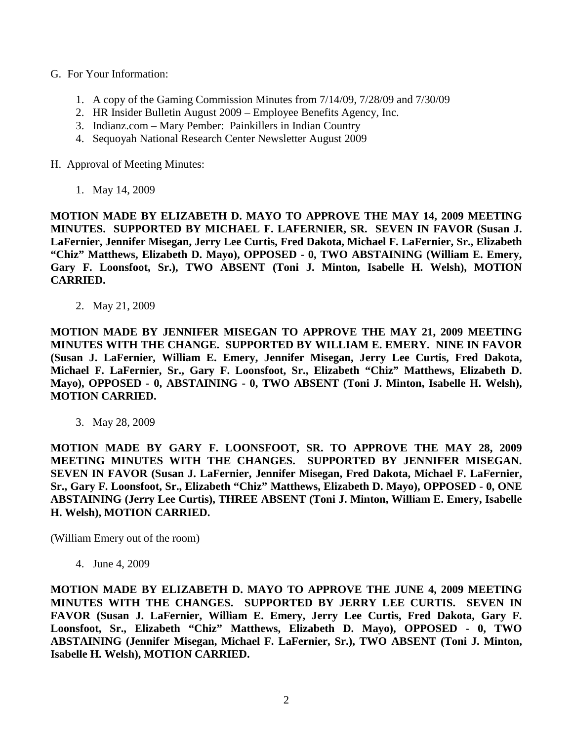- G. For Your Information:
	- 1. A copy of the Gaming Commission Minutes from 7/14/09, 7/28/09 and 7/30/09
	- 2. HR Insider Bulletin August 2009 Employee Benefits Agency, Inc.
	- 3. Indianz.com Mary Pember: Painkillers in Indian Country
	- 4. Sequoyah National Research Center Newsletter August 2009

H. Approval of Meeting Minutes:

1. May 14, 2009

**MOTION MADE BY ELIZABETH D. MAYO TO APPROVE THE MAY 14, 2009 MEETING MINUTES. SUPPORTED BY MICHAEL F. LAFERNIER, SR. SEVEN IN FAVOR (Susan J. LaFernier, Jennifer Misegan, Jerry Lee Curtis, Fred Dakota, Michael F. LaFernier, Sr., Elizabeth "Chiz" Matthews, Elizabeth D. Mayo), OPPOSED - 0, TWO ABSTAINING (William E. Emery, Gary F. Loonsfoot, Sr.), TWO ABSENT (Toni J. Minton, Isabelle H. Welsh), MOTION CARRIED.**

2. May 21, 2009

**MOTION MADE BY JENNIFER MISEGAN TO APPROVE THE MAY 21, 2009 MEETING MINUTES WITH THE CHANGE. SUPPORTED BY WILLIAM E. EMERY. NINE IN FAVOR (Susan J. LaFernier, William E. Emery, Jennifer Misegan, Jerry Lee Curtis, Fred Dakota, Michael F. LaFernier, Sr., Gary F. Loonsfoot, Sr., Elizabeth "Chiz" Matthews, Elizabeth D. Mayo), OPPOSED - 0, ABSTAINING - 0, TWO ABSENT (Toni J. Minton, Isabelle H. Welsh), MOTION CARRIED.**

3. May 28, 2009

**MOTION MADE BY GARY F. LOONSFOOT, SR. TO APPROVE THE MAY 28, 2009 MEETING MINUTES WITH THE CHANGES. SUPPORTED BY JENNIFER MISEGAN. SEVEN IN FAVOR (Susan J. LaFernier, Jennifer Misegan, Fred Dakota, Michael F. LaFernier, Sr., Gary F. Loonsfoot, Sr., Elizabeth "Chiz" Matthews, Elizabeth D. Mayo), OPPOSED - 0, ONE ABSTAINING (Jerry Lee Curtis), THREE ABSENT (Toni J. Minton, William E. Emery, Isabelle H. Welsh), MOTION CARRIED.**

(William Emery out of the room)

4. June 4, 2009

**MOTION MADE BY ELIZABETH D. MAYO TO APPROVE THE JUNE 4, 2009 MEETING MINUTES WITH THE CHANGES. SUPPORTED BY JERRY LEE CURTIS. SEVEN IN FAVOR (Susan J. LaFernier, William E. Emery, Jerry Lee Curtis, Fred Dakota, Gary F. Loonsfoot, Sr., Elizabeth "Chiz" Matthews, Elizabeth D. Mayo), OPPOSED - 0, TWO ABSTAINING (Jennifer Misegan, Michael F. LaFernier, Sr.), TWO ABSENT (Toni J. Minton, Isabelle H. Welsh), MOTION CARRIED.**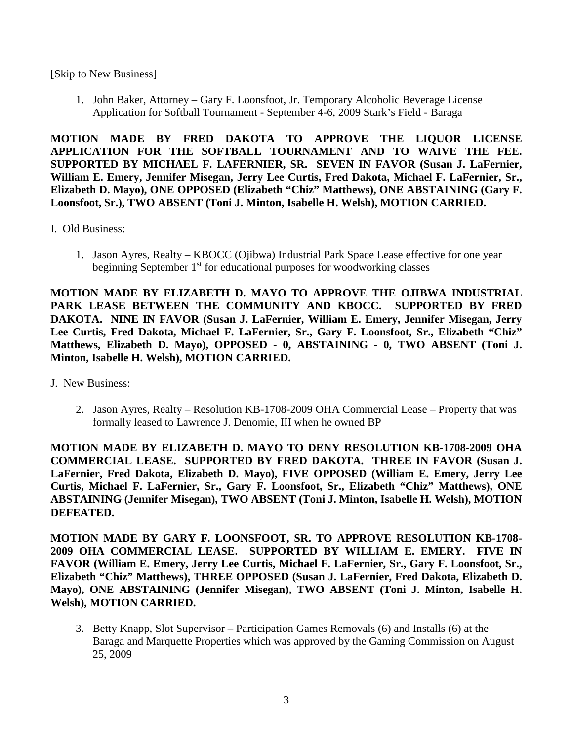[Skip to New Business]

1. John Baker, Attorney – Gary F. Loonsfoot, Jr. Temporary Alcoholic Beverage License Application for Softball Tournament - September 4-6, 2009 Stark's Field - Baraga

**MOTION MADE BY FRED DAKOTA TO APPROVE THE LIQUOR LICENSE APPLICATION FOR THE SOFTBALL TOURNAMENT AND TO WAIVE THE FEE. SUPPORTED BY MICHAEL F. LAFERNIER, SR. SEVEN IN FAVOR (Susan J. LaFernier, William E. Emery, Jennifer Misegan, Jerry Lee Curtis, Fred Dakota, Michael F. LaFernier, Sr., Elizabeth D. Mayo), ONE OPPOSED (Elizabeth "Chiz" Matthews), ONE ABSTAINING (Gary F. Loonsfoot, Sr.), TWO ABSENT (Toni J. Minton, Isabelle H. Welsh), MOTION CARRIED.**

- I. Old Business:
	- 1. Jason Ayres, Realty KBOCC (Ojibwa) Industrial Park Space Lease effective for one year beginning September  $1<sup>st</sup>$  for educational purposes for woodworking classes

**MOTION MADE BY ELIZABETH D. MAYO TO APPROVE THE OJIBWA INDUSTRIAL PARK LEASE BETWEEN THE COMMUNITY AND KBOCC. SUPPORTED BY FRED DAKOTA. NINE IN FAVOR (Susan J. LaFernier, William E. Emery, Jennifer Misegan, Jerry Lee Curtis, Fred Dakota, Michael F. LaFernier, Sr., Gary F. Loonsfoot, Sr., Elizabeth "Chiz" Matthews, Elizabeth D. Mayo), OPPOSED - 0, ABSTAINING - 0, TWO ABSENT (Toni J. Minton, Isabelle H. Welsh), MOTION CARRIED.**

- J. New Business:
	- 2. Jason Ayres, Realty Resolution KB-1708-2009 OHA Commercial Lease Property that was formally leased to Lawrence J. Denomie, III when he owned BP

**MOTION MADE BY ELIZABETH D. MAYO TO DENY RESOLUTION KB-1708-2009 OHA COMMERCIAL LEASE. SUPPORTED BY FRED DAKOTA. THREE IN FAVOR (Susan J. LaFernier, Fred Dakota, Elizabeth D. Mayo), FIVE OPPOSED (William E. Emery, Jerry Lee Curtis, Michael F. LaFernier, Sr., Gary F. Loonsfoot, Sr., Elizabeth "Chiz" Matthews), ONE ABSTAINING (Jennifer Misegan), TWO ABSENT (Toni J. Minton, Isabelle H. Welsh), MOTION DEFEATED.**

**MOTION MADE BY GARY F. LOONSFOOT, SR. TO APPROVE RESOLUTION KB-1708- 2009 OHA COMMERCIAL LEASE. SUPPORTED BY WILLIAM E. EMERY. FIVE IN FAVOR (William E. Emery, Jerry Lee Curtis, Michael F. LaFernier, Sr., Gary F. Loonsfoot, Sr., Elizabeth "Chiz" Matthews), THREE OPPOSED (Susan J. LaFernier, Fred Dakota, Elizabeth D. Mayo), ONE ABSTAINING (Jennifer Misegan), TWO ABSENT (Toni J. Minton, Isabelle H. Welsh), MOTION CARRIED.**

3. Betty Knapp, Slot Supervisor – Participation Games Removals (6) and Installs (6) at the Baraga and Marquette Properties which was approved by the Gaming Commission on August 25, 2009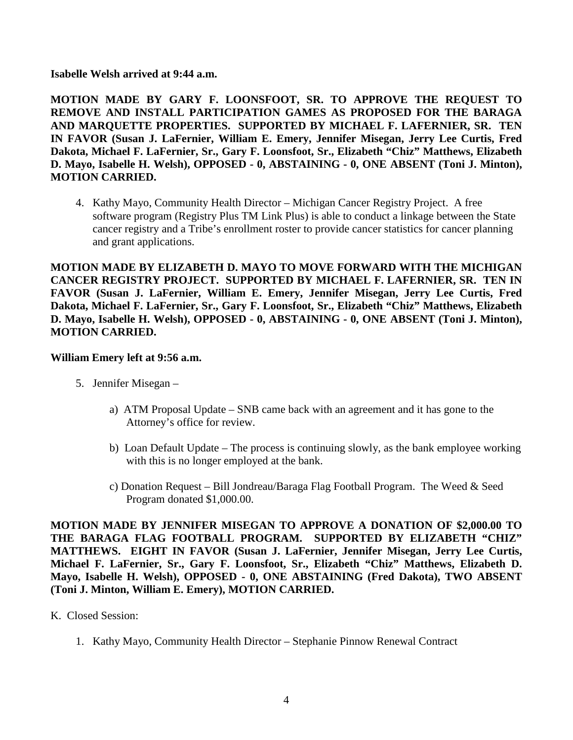**Isabelle Welsh arrived at 9:44 a.m.**

**MOTION MADE BY GARY F. LOONSFOOT, SR. TO APPROVE THE REQUEST TO REMOVE AND INSTALL PARTICIPATION GAMES AS PROPOSED FOR THE BARAGA AND MARQUETTE PROPERTIES. SUPPORTED BY MICHAEL F. LAFERNIER, SR. TEN IN FAVOR (Susan J. LaFernier, William E. Emery, Jennifer Misegan, Jerry Lee Curtis, Fred Dakota, Michael F. LaFernier, Sr., Gary F. Loonsfoot, Sr., Elizabeth "Chiz" Matthews, Elizabeth D. Mayo, Isabelle H. Welsh), OPPOSED - 0, ABSTAINING - 0, ONE ABSENT (Toni J. Minton), MOTION CARRIED.**

4. Kathy Mayo, Community Health Director – Michigan Cancer Registry Project. A free software program (Registry Plus TM Link Plus) is able to conduct a linkage between the State cancer registry and a Tribe's enrollment roster to provide cancer statistics for cancer planning and grant applications.

**MOTION MADE BY ELIZABETH D. MAYO TO MOVE FORWARD WITH THE MICHIGAN CANCER REGISTRY PROJECT. SUPPORTED BY MICHAEL F. LAFERNIER, SR. TEN IN FAVOR (Susan J. LaFernier, William E. Emery, Jennifer Misegan, Jerry Lee Curtis, Fred Dakota, Michael F. LaFernier, Sr., Gary F. Loonsfoot, Sr., Elizabeth "Chiz" Matthews, Elizabeth D. Mayo, Isabelle H. Welsh), OPPOSED - 0, ABSTAINING - 0, ONE ABSENT (Toni J. Minton), MOTION CARRIED.**

## **William Emery left at 9:56 a.m.**

- 5. Jennifer Misegan
	- a) ATM Proposal Update SNB came back with an agreement and it has gone to the Attorney's office for review.
	- b) Loan Default Update The process is continuing slowly, as the bank employee working with this is no longer employed at the bank.
	- c) Donation Request Bill Jondreau/Baraga Flag Football Program. The Weed & Seed Program donated \$1,000.00.

**MOTION MADE BY JENNIFER MISEGAN TO APPROVE A DONATION OF \$2,000.00 TO THE BARAGA FLAG FOOTBALL PROGRAM. SUPPORTED BY ELIZABETH "CHIZ" MATTHEWS. EIGHT IN FAVOR (Susan J. LaFernier, Jennifer Misegan, Jerry Lee Curtis, Michael F. LaFernier, Sr., Gary F. Loonsfoot, Sr., Elizabeth "Chiz" Matthews, Elizabeth D. Mayo, Isabelle H. Welsh), OPPOSED - 0, ONE ABSTAINING (Fred Dakota), TWO ABSENT (Toni J. Minton, William E. Emery), MOTION CARRIED.**

## K. Closed Session:

1. Kathy Mayo, Community Health Director – Stephanie Pinnow Renewal Contract